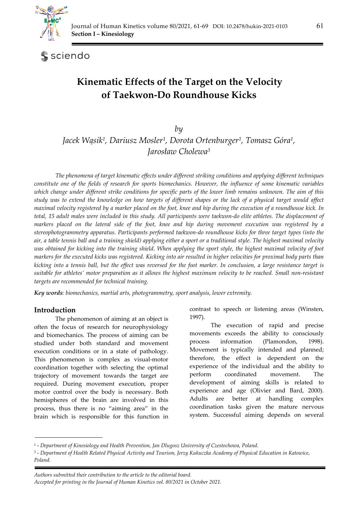

sciendo

# **Kinematic Effects of the Target on the Velocity of Taekwon-Do Roundhouse Kicks**

*by Jacek Wąsik1, Dariusz Mosler1, Dorota Ortenburger1, Tomasz Góra1, Jarosław Cholewa3*

*The phenomena of target kinematic effects under different striking conditions and applying different techniques constitute one of the fields of research for sports biomechanics. However, the influence of some kinematic variables which change under different strike conditions for specific parts of the lower limb remains unknown. The aim of this study was to extend the knowledge on how targets of different shapes or the lack of a physical target would affect maximal velocity registered by a marker placed on the foot, knee and hip during the execution of a roundhouse kick. In total, 15 adult males were included in this study. All participants were taekwon-do elite athletes. The displacement of markers placed on the lateral side of the foot, knee and hip during movement execution was registered by a stereophotogrammetry apparatus. Participants performed taekwon-do roundhouse kicks for three target types (into the air, a table tennis ball and a training shield) applying either a sport or a traditional style. The highest maximal velocity was obtained for kicking into the training shield. When applying the sport style, the highest maximal velocity of foot markers for the executed kicks was registered. Kicking into air resulted in higher velocities for proximal body parts than kicking into a tennis ball, but the effect was reversed for the foot marker. In conclusion, a large resistance target is suitable for athletes' motor preparation as it allows the highest maximum velocity to be reached. Small non-resistant targets are recommended for technical training.* 

*Key words: biomechanics, martial arts, photogrammetry, sport analysis, lower extremity.* 

### **Introduction**

The phenomenon of aiming at an object is often the focus of research for neurophysiology and biomechanics. The process of aiming can be studied under both standard and movement execution conditions or in a state of pathology. This phenomenon is complex as visual-motor coordination together with selecting the optimal trajectory of movement towards the target are required. During movement execution, proper motor control over the body is necessary. Both hemispheres of the brain are involved in this process, thus there is no "aiming area" in the brain which is responsible for this function in contrast to speech or listening areas (Winsten, 1997).

 The execution of rapid and precise movements exceeds the ability to consciously process information (Plamondon, 1998). Movement is typically intended and planned; therefore, the effect is dependent on the experience of the individual and the ability to perform coordinated movement. The development of aiming skills is related to experience and age (Olivier and Bard, 2000). Adults are better at handling complex coordination tasks given the mature nervous system. Successful aiming depends on several

<sup>1 -</sup> *Department of Kinesiology and Health Prevention, Jan Dlugosz University of Czestochowa, Poland.* 

<sup>3 -</sup> *Department of Health Related Physical Activity and Tourism, Jerzy Kukuczka Academy of Physical Education in Katowice, Poland.*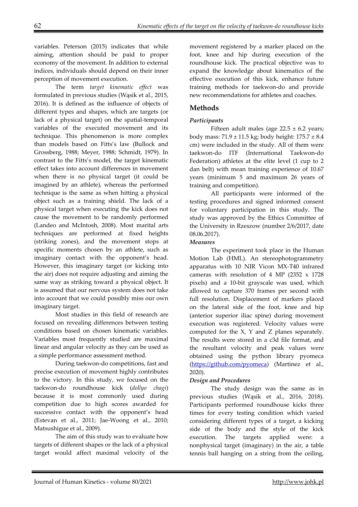variables. Peterson (2015) indicates that while aiming, attention should be paid to proper economy of the movement. In addition to external indices, individuals should depend on their inner perception of movement execution.

 The term *target kinematic effect* was formulated in previous studies (Wąsik et al., 2015, 2016). It is defined as the influence of objects of different types and shapes, which are targets (or lack of a physical target) on the spatial-temporal variables of the executed movement and its technique. This phenomenon is more complex than models based on Fitts's law (Bullock and Grossberg, 1988; Meyer, 1988; Schmidt, 1979). In contrast to the Fitts's model, the target kinematic effect takes into account differences in movement when there is no physical target (it could be imagined by an athlete), whereas the performed technique is the same as when hitting a physical object such as a training shield. The lack of a physical target when executing the kick does not cause the movement to be randomly performed (Landeo and McIntosh, 2008). Most marital arts techniques are performed at fixed heights (striking zones), and the movement stops at specific moments chosen by an athlete, such as imaginary contact with the opponent's head. However, this imaginary target (or kicking into the air) does not require adjusting and aiming the same way as striking toward a physical object. It is assumed that our nervous system does not take into account that we could possibly miss our own imaginary target.

 Most studies in this field of research are focused on revealing differences between testing conditions based on chosen kinematic variables. Variables most frequently studied are maximal linear and angular velocity as they can be used as a simple performance assessment method.

 During taekwon-do competitions, fast and precise execution of movement highly contributes to the victory. In this study, we focused on the taekwon-do roundhouse kick (*dollyo chagi*) because it is most commonly used during competition due to high scores awarded for successive contact with the opponent's head (Estevan et al., 2011; Jae-Woong et al., 2010; Matsushigue et al., 2009).

 The aim of this study was to evaluate how targets of different shapes or the lack of a physical target would affect maximal velocity of the movement registered by a marker placed on the foot, knee and hip during execution of the roundhouse kick. The practical objective was to expand the knowledge about kinematics of the effective execution of this kick, enhance future training methods for taekwon-do and provide new recommendations for athletes and coaches.

# **Methods**

#### *Participants*

Fifteen adult males (age  $22.5 \pm 6.2$  years; body mass:  $71.9 \pm 11.5$  kg; body height:  $175.7 \pm 8.4$ cm) were included in the study. All of them were taekwon-do ITF (International Taekwon-do Federation) athletes at the elite level (1 cup to 2 dan belt) with mean training experience of 10.67 years (minimum 5 and maximum 26 years of training and competition).

All participants were informed of the testing procedures and signed informed consent for voluntary participation in this study. The study was approved by the Ethics Committee of the University in Rzeszow (number 2/6/2017, date 08.06.2017).

#### *Measures*

 The experiment took place in the Human Motion Lab (HML). An stereophotogrammetry apparatus with 10 NIR Vicon MX-T40 infrared cameras with resolution of 4 MP (2352 x 1728 pixels) and a 10-bit grayscale was used, which allowed to capture 370 frames per second with full resolution. Displacement of markers placed on the lateral side of the foot, knee and hip (anterior superior iliac spine) during movement execution was registered. Velocity values were computed for the X, Y and Z planes separately. The results were stored in a c3d file format, and the resultant velocity and peak values were obtained using the python library pyomeca (https://github.com/pyomeca) (Martinez et al., 2020).

#### *Design and Procedures*

 The study design was the same as in previous studies (Wąsik et al., 2016, 2018). Participants performed roundhouse kicks three times for every testing condition which varied considering different types of a target, a kicking side of the body and the style of the kick execution. The targets applied were: a nonphysical target (imaginary) in the air, a table tennis ball hanging on a string from the ceiling,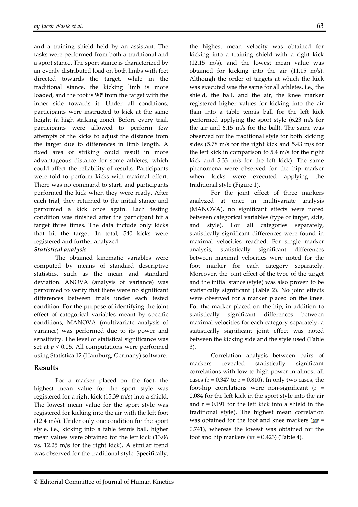and a training shield held by an assistant. The tasks were performed from both a traditional and a sport stance. The sport stance is characterized by an evenly distributed load on both limbs with feet directed towards the target, while in the traditional stance, the kicking limb is more loaded, and the foot is 90<sup>0</sup> from the target with the inner side towards it. Under all conditions, participants were instructed to kick at the same height (a high striking zone). Before every trial, participants were allowed to perform few attempts of the kicks to adjust the distance from the target due to differences in limb length. A fixed area of striking could result in more advantageous distance for some athletes, which could affect the reliability of results. Participants were told to perform kicks with maximal effort. There was no command to start, and participants performed the kick when they were ready. After each trial, they returned to the initial stance and performed a kick once again. Each testing condition was finished after the participant hit a target three times. The data include only kicks that hit the target. In total, 540 kicks were registered and further analyzed.

#### *Statistical analysis*

 The obtained kinematic variables were computed by means of standard descriptive statistics, such as the mean and standard deviation. ANOVA (analysis of variance) was performed to verify that there were no significant differences between trials under each tested condition. For the purpose of identifying the joint effect of categorical variables meant by specific conditions, MANOVA (multivariate analysis of variance) was performed due to its power and sensitivity. The level of statistical significance was set at  $p < 0.05$ . All computations were performed using Statistica 12 (Hamburg, Germany) software.

### **Results**

 For a marker placed on the foot, the highest mean value for the sport style was registered for a right kick (15.39 m/s) into a shield. The lowest mean value for the sport style was registered for kicking into the air with the left foot (12.4 m/s). Under only one condition for the sport style, i.e., kicking into a table tennis ball, higher mean values were obtained for the left kick (13.06 vs. 12.25 m/s for the right kick). A similar trend was observed for the traditional style. Specifically,

the highest mean velocity was obtained for kicking into a training shield with a right kick (12.15 m/s), and the lowest mean value was obtained for kicking into the air (11.15 m/s). Although the order of targets at which the kick was executed was the same for all athletes, i.e., the shield, the ball, and the air, the knee marker registered higher values for kicking into the air than into a table tennis ball for the left kick performed applying the sport style (6.23 m/s for the air and 6.15 m/s for the ball). The same was observed for the traditional style for both kicking sides (5.78 m/s for the right kick and 5.43 m/s for the left kick in comparison to 5.4 m/s for the right kick and 5.33 m/s for the left kick). The same phenomena were observed for the hip marker when kicks were executed applying the traditional style (Figure 1).

 For the joint effect of three markers analyzed at once in multivariate analysis (MANOVA), no significant effects were noted between categorical variables (type of target, side, and style). For all categories separately, statistically significant differences were found in maximal velocities reached. For single marker analysis, statistically significant differences between maximal velocities were noted for the foot marker for each category separately. Moreover, the joint effect of the type of the target and the initial stance (style) was also proven to be statistically significant (Table 2). No joint effects were observed for a marker placed on the knee. For the marker placed on the hip, in addition to statistically significant differences between maximal velocities for each category separately, a statistically significant joint effect was noted between the kicking side and the style used (Table 3).

 Correlation analysis between pairs of markers revealed statistically significant correlations with low to high power in almost all cases ( $r = 0.347$  to  $r = 0.810$ ). In only two cases, the foot-hip correlations were non-significant (r = 0.084 for the left kick in the sport style into the air and  $r = 0.191$  for the left kick into a shield in the traditional style). The highest mean correlation was obtained for the foot and knee markers ( $\bar{x}r$  = 0.741), whereas the lowest was obtained for the foot and hip markers ( $\bar{x}r = 0.423$ ) (Table 4).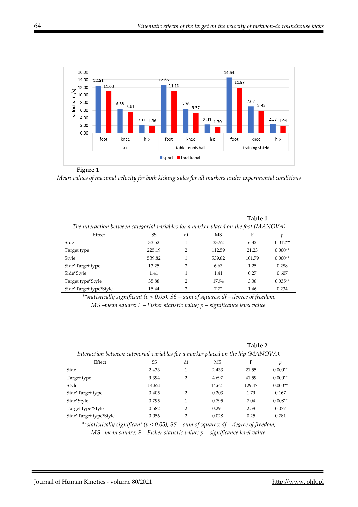**Table 1** 



#### **Figure 1**

*Mean values of maximal velocity for both kicking sides for all markers under experimental conditions*

| The interaction between categorial variables for a marker placed on the foot (MANOVA) |        |               |           |        |           |
|---------------------------------------------------------------------------------------|--------|---------------|-----------|--------|-----------|
| Effect                                                                                | SS     | df            | <b>MS</b> | F      |           |
| Side                                                                                  | 33.52  |               | 33.52     | 6.32   | $0.012**$ |
| Target type                                                                           | 225.19 | 2             | 112.59    | 21.23  | $0.000**$ |
| Style                                                                                 | 539.82 |               | 539.82    | 101.79 | $0.000**$ |
| Side*Target type                                                                      | 13.25  | $\mathcal{P}$ | 6.63      | 1.25   | 0.288     |
| Side*Style                                                                            | 1.41   |               | 1.41      | 0.27   | 0.607     |
| Target type*Style                                                                     | 35.88  | 2             | 17.94     | 3.38   | $0.035**$ |
| Side*Target type*Style                                                                | 15.44  | ◠             | 772       | 1.46   | 0.234     |

*\*\*statistically significant (p < 0.05); SS – sum of squares; df – degree of freedom; MS –mean square; F – Fisher statistic value; p – significance level value.* 

|                                                                                   |        |                |           | Table 2 |           |  |  |  |  |
|-----------------------------------------------------------------------------------|--------|----------------|-----------|---------|-----------|--|--|--|--|
| Interaction between categorial variables for a marker placed on the hip (MANOVA). |        |                |           |         |           |  |  |  |  |
| Effect                                                                            | SS     | df             | <b>MS</b> | F       | р         |  |  |  |  |
| Side                                                                              | 2.433  | 1              | 2.433     | 21.55   | $0.000**$ |  |  |  |  |
| Target type                                                                       | 9.394  | $\mathcal{P}$  | 4.697     | 41.59   | $0.000**$ |  |  |  |  |
| Style                                                                             | 14.621 | 1              | 14.621    | 129.47  | $0.000**$ |  |  |  |  |
| Side*Target type                                                                  | 0.405  | $\mathfrak{D}$ | 0.203     | 1.79    | 0.167     |  |  |  |  |
| Side*Style                                                                        | 0.795  | 1              | 0.795     | 7.04    | $0.008**$ |  |  |  |  |
| Target type*Style                                                                 | 0.582  | $\mathcal{P}$  | 0.291     | 2.58    | 0.077     |  |  |  |  |
| Side*Target type*Style                                                            | 0.056  | ∍              | 0.028     | 0.25    | 0.781     |  |  |  |  |

*\*\*statistically significant (p < 0.05); SS – sum of squares; df – degree of freedom; MS –mean square; F – Fisher statistic value; p – significance level value.*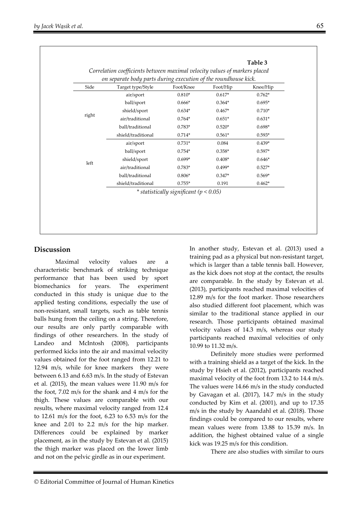| Side  | Target type/Style  | Foot/Knee                                  | Foot/Hip | Knee/Hip |
|-------|--------------------|--------------------------------------------|----------|----------|
|       | air/sport          | $0.810*$                                   | $0.617*$ | $0.762*$ |
|       | ball/sport         | $0.666*$                                   | $0.364*$ | $0.695*$ |
|       | shield/sport       | $0.634*$                                   | $0.467*$ | $0.710*$ |
| right | air/traditional    | $0.764*$                                   | $0.651*$ | $0.631*$ |
|       | ball/traditional   | $0.783*$                                   | $0.520*$ | $0.698*$ |
|       | shield/traditional | $0.714*$                                   | $0.561*$ | $0.593*$ |
|       | air/sport          | $0.731*$                                   | 0.084    | $0.439*$ |
|       | ball/sport         | $0.754*$                                   | $0.358*$ | $0.597*$ |
|       | shield/sport       | $0.699*$                                   | $0.408*$ | $0.646*$ |
| left  | air/traditional    | $0.783*$                                   | $0.499*$ | $0.527*$ |
|       | ball/traditional   | $0.806*$                                   | $0.347*$ | $0.569*$ |
|       | shield/traditional | $0.755*$                                   | 0.191    | $0.462*$ |
|       |                    | * statistically significant ( $p < 0.05$ ) |          |          |
|       |                    |                                            |          |          |

## **Discussion**

Maximal velocity values are a characteristic benchmark of striking technique performance that has been used by sport biomechanics for years. The experiment conducted in this study is unique due to the applied testing conditions, especially the use of non-resistant, small targets, such as table tennis balls hung from the ceiling on a string. Therefore, our results are only partly comparable with findings of other researchers. In the study of Landeo and McIntosh (2008), participants performed kicks into the air and maximal velocity values obtained for the foot ranged from 12.21 to 12.94 m/s, while for knee markers they were between 6.13 and 6.63 m/s. In the study of Estevan et al. (2015), the mean values were 11.90 m/s for the foot, 7.02 m/s for the shank and 4 m/s for the thigh. These values are comparable with our results, where maximal velocity ranged from 12.4 to 12.61 m/s for the foot, 6.23 to 6.53 m/s for the knee and 2.01 to 2.2 m/s for the hip marker. Differences could be explained by marker placement, as in the study by Estevan et al. (2015) the thigh marker was placed on the lower limb and not on the pelvic girdle as in our experiment.

In another study, Estevan et al. (2013) used a training pad as a physical but non-resistant target, which is larger than a table tennis ball. However, as the kick does not stop at the contact, the results are comparable. In the study by Estevan et al. (2013), participants reached maximal velocities of 12.89 m/s for the foot marker. Those researchers also studied different foot placement, which was similar to the traditional stance applied in our research. Those participants obtained maximal velocity values of 14.3 m/s, whereas our study participants reached maximal velocities of only 10.99 to 11.32 m/s.

 Definitely more studies were performed with a training shield as a target of the kick. In the study by Hsieh et al. (2012), participants reached maximal velocity of the foot from 13.2 to 14.4 m/s. The values were 14.66 m/s in the study conducted by Gavagan et al. (2017), 14.7 m/s in the study conducted by Kim et al. (2001), and up to 17.35 m/s in the study by Aaandahl et al. (2018). Those findings could be compared to our results, where mean values were from 13.88 to 15.39 m/s. In addition, the highest obtained value of a single kick was 19.25 m/s for this condition.

There are also studies with similar to ours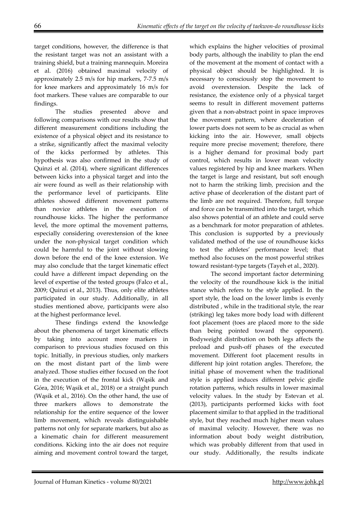target conditions, however, the difference is that the resistant target was not an assistant with a training shield, but a training mannequin. Moreira et al. (2016) obtained maximal velocity of approximately 2.5 m/s for hip markers, 7-7.5 m/s for knee markers and approximately 16 m/s for foot markers. These values are comparable to our findings.

 The studies presented above and following comparisons with our results show that different measurement conditions including the existence of a physical object and its resistance to a strike, significantly affect the maximal velocity of the kicks performed by athletes. This hypothesis was also confirmed in the study of Quinzi et al. (2014), where significant differences between kicks into a physical target and into the air were found as well as their relationship with the performance level of participants. Elite athletes showed different movement patterns than novice athletes in the execution of roundhouse kicks. The higher the performance level, the more optimal the movement patterns, especially considering overextension of the knee under the non-physical target condition which could be harmful to the joint without slowing down before the end of the knee extension. We may also conclude that the target kinematic effect could have a different impact depending on the level of expertise of the tested groups (Falco et al., 2009; Quinzi et al., 2013). Thus, only elite athletes participated in our study. Additionally, in all studies mentioned above, participants were also at the highest performance level.

 These findings extend the knowledge about the phenomena of target kinematic effects by taking into account more markers in comparison to previous studies focused on this topic. Initially, in previous studies, only markers on the most distant part of the limb were analyzed. Those studies either focused on the foot in the execution of the frontal kick (Wąsik and Góra, 2016; Wąsik et al., 2018) or a straight punch (Wąsik et al., 2016). On the other hand, the use of three markers allows to demonstrate the relationship for the entire sequence of the lower limb movement, which reveals distinguishable patterns not only for separate markers, but also as a kinematic chain for different measurement conditions. Kicking into the air does not require aiming and movement control toward the target,

which explains the higher velocities of proximal body parts, although the inability to plan the end of the movement at the moment of contact with a physical object should be highlighted. It is necessary to consciously stop the movement to avoid overextension. Despite the lack of resistance, the existence only of a physical target seems to result in different movement patterns given that a non-abstract point in space improves the movement pattern, where deceleration of lower parts does not seem to be as crucial as when kicking into the air. However, small objects require more precise movement; therefore, there is a higher demand for proximal body part control, which results in lower mean velocity values registered by hip and knee markers. When the target is large and resistant, but soft enough not to harm the striking limb, precision and the active phase of deceleration of the distant part of the limb are not required. Therefore, full torque and force can be transmitted into the target, which also shows potential of an athlete and could serve as a benchmark for motor preparation of athletes. This conclusion is supported by a previously validated method of the use of roundhouse kicks to test the athletes' performance level; that method also focuses on the most powerful strikes toward resistant-type targets (Tayeh et al., 2020).

 The second important factor determining the velocity of the roundhouse kick is the initial stance which refers to the style applied. In the sport style, the load on the lower limbs is evenly distributed , while in the traditional style, the rear (striking) leg takes more body load with different foot placement (toes are placed more to the side than being pointed toward the opponent). Bodyweight distribution on both legs affects the preload and push-off phases of the executed movement. Different foot placement results in different hip joint rotation angles. Therefore, the initial phase of movement when the traditional style is applied induces different pelvic girdle rotation patterns, which results in lower maximal velocity values. In the study by Estevan et al. (2013), participants performed kicks with foot placement similar to that applied in the traditional style, but they reached much higher mean values of maximal velocity. However, there was no information about body weight distribution, which was probably different from that used in our study. Additionally, the results indicate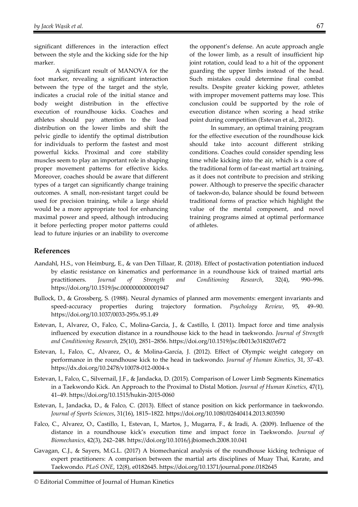significant differences in the interaction effect between the style and the kicking side for the hip marker.

 A significant result of MANOVA for the foot marker, revealing a significant interaction between the type of the target and the style, indicates a crucial role of the initial stance and body weight distribution in the effective execution of roundhouse kicks. Coaches and athletes should pay attention to the load distribution on the lower limbs and shift the pelvic girdle to identify the optimal distribution for individuals to perform the fastest and most powerful kicks. Proximal and core stability muscles seem to play an important role in shaping proper movement patterns for effective kicks. Moreover, coaches should be aware that different types of a target can significantly change training outcomes. A small, non-resistant target could be used for precision training, while a large shield would be a more appropriate tool for enhancing maximal power and speed, although introducing it before perfecting proper motor patterns could lead to future injuries or an inability to overcome

the opponent's defense. An acute approach angle of the lower limb, as a result of insufficient hip joint rotation, could lead to a hit of the opponent guarding the upper limbs instead of the head. Such mistakes could determine final combat results. Despite greater kicking power, athletes with improper movement patterns may lose. This conclusion could be supported by the role of execution distance when scoring a head strike point during competition (Estevan et al., 2012).

 In summary, an optimal training program for the effective execution of the roundhouse kick should take into account different striking conditions. Coaches could consider spending less time while kicking into the air, which is a core of the traditional form of far-east martial art training, as it does not contribute to precision and striking power. Although to preserve the specific character of taekwon-do, balance should be found between traditional forms of practice which highlight the value of the mental component, and novel training programs aimed at optimal performance of athletes.

#### **References**

- Aandahl, H.S., von Heimburg, E., & van Den Tillaar, R. (2018). Effect of postactivation potentiation induced by elastic resistance on kinematics and performance in a roundhouse kick of trained martial arts practitioners. *Journal of Strength and Conditioning Research*, 32(4), 990–996. https://doi.org/10.1519/jsc.0000000000001947
- Bullock, D., & Grossberg, S. (1988). Neural dynamics of planned arm movements: emergent invariants and speed-accuracy properties during trajectory formation. *Psychology Review*, 95, 49–90. https://doi.org/10.1037/0033-295x.95.1.49
- Estevan, I., Alvarez, O., Falco, C., Molina-Garcia, J., & Castillo, I. (2011). Impact force and time analysis influenced by execution distance in a roundhouse kick to the head in taekwondo. *Journal of Strength and Conditioning Research*, 25(10), 2851–2856. https://doi.org/10.1519/jsc.0b013e318207ef72
- Estevan, I., Falco, C., Alvarez, O., & Molina-García, J. (2012). Effect of Olympic weight category on performance in the roundhouse kick to the head in taekwondo. *Journal of Human Kinetics*, 31, 37–43. https://dx.doi.org/10.2478/v10078-012-0004-x
- Estevan, I., Falco, C., Silvernail, J.F., & Jandacka, D. (2015). Comparison of Lower Limb Segments Kinematics in a Taekwondo Kick. An Approach to the Proximal to Distal Motion. *Journal of Human Kinetics*, 47(1), 41–49. https://doi.org/10.1515/hukin-2015-0060
- Estevan, I., Jandacka, D., & Falco, C. (2013). Effect of stance position on kick performance in taekwondo. *Journal of Sports Sciences*, 31(16), 1815–1822. https://doi.org/10.1080/02640414.2013.803590
- Falco, C., Alvarez, O., Castillo, I., Estevan, I., Martos, J., Mugarra, F., & Iradi, A. (2009). Influence of the distance in a roundhouse kick's execution time and impact force in Taekwondo. *Journal of Biomechanics*, 42(3), 242–248. https://doi.org/10.1016/j.jbiomech.2008.10.041
- Gavagan, C.J., & Sayers, M.G.L. (2017) A biomechanical analysis of the roundhouse kicking technique of expert practitioners: A comparison between the martial arts disciplines of Muay Thai, Karate, and Taekwondo. *PLoS ONE*, 12(8), e0182645. https://doi.org/10.1371/journal.pone.0182645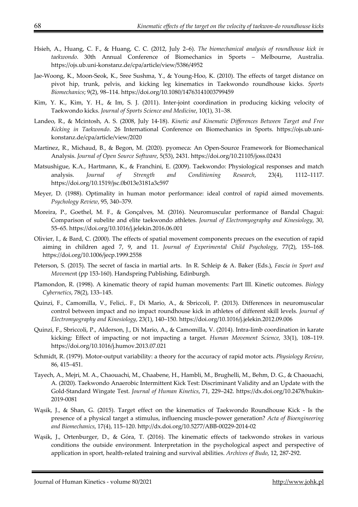- Hsieh, A., Huang, C. F., & Huang, C. C. (2012, July 2–6). *The biomechanical analysis of roundhouse kick in taekwondo*. 30th Annual Conference of Biomechanics in Sports – Melbourne, Australia. https://ojs.ub.uni-konstanz.de/cpa/article/view/5386/4952
- Jae-Woong, K., Moon-Seok, K., Sree Sushma, Y., & Young-Hoo, K. (2010). The effects of target distance on pivot hip, trunk, pelvis, and kicking leg kinematics in Taekwondo roundhouse kicks. *Sports Biomechanics*; 9(2), 98–114. https://doi.org/10.1080/14763141003799459
- Kim, Y. K., Kim, Y. H., & Im, S. J. (2011). Inter-joint coordination in producing kicking velocity of Taekwondo kicks. *Journal of Sports Science and Medicine*, 10(1), 31–38.
- Landeo, R., & Mcintosh, A. S. (2008, July 14-18). *Kinetic and Kinematic Differences Between Target and Free Kicking in Taekwondo*. 26 International Conference on Biomechanics in Sports. https://ojs.ub.unikonstanz.de/cpa/article/view/2020
- Martinez, R., Michaud, B., & Begon, M. (2020). pyomeca: An Open-Source Framework for Biomechanical Analysis. *Journal of Open Source Software*, 5(53), 2431. https://doi.org/10.21105/joss.02431
- Matsushigue, K.A., Hartmann, K., & Franchini, E. (2009). Taekwondo: Physiological responses and match analysis. *Journal of Strength and Conditioning Research*, 23(4), 1112–1117. https://doi.org/10.1519/jsc.0b013e3181a3c597
- Meyer, D. (1988). Optimality in human motor performance: ideal control of rapid aimed movements. *Psychology Review*, 95, 340–379.
- Moreira, P., Goethel, M. F., & Gonçalves, M. (2016). Neuromuscular performance of Bandal Chagui: Comparison of subelite and elite taekwondo athletes. *Journal of Electromyography and Kinesiology*, 30, 55–65. https://doi.org/10.1016/j.jelekin.2016.06.001
- Olivier, I., & Bard, C. (2000). The effects of spatial movement components precues on the execution of rapid aiming in children aged 7, 9, and 11. *Journal of Experimental Child Psychology*, 77(2), 155–168. https://doi.org/10.1006/jecp.1999.2558
- Peterson, S. (2015). The secret of fascia in martial arts. In R. Schleip & A. Baker (Eds.), *Fascia in Sport and Movemen*t (pp 153-160). Handspring Publishing, Edinburgh.
- Plamondon, R. (1998). A kinematic theory of rapid human movements: Part III. Kinetic outcomes. *Biology Cybernetics*, 78(2), 133–145.
- Quinzi, F., Camomilla, V., Felici,. F., Di Mario, A., & Sbriccoli, P. (2013). Differences in neuromuscular control between impact and no impact roundhouse kick in athletes of different skill levels. *Journal of Electromyography and Kinesiology*, 23(1), 140–150. https://doi.org/10.1016/j.jelekin.2012.09.006
- Quinzi, F., Sbriccoli, P., Alderson, J., Di Mario, A., & Camomilla, V. (2014). Intra-limb coordination in karate kicking: Effect of impacting or not impacting a target. *Human Movement Science*, 33(1), 108–119. https://doi.org/10.1016/j.humov.2013.07.021
- Schmidt, R. (1979). Motor-output variability: a theory for the accuracy of rapid motor acts. *Physiology Review*, 86, 415–451.
- Tayech, A., Mejri, M. A., Chaouachi, M., Chaabene, H., Hambli, M., Brughelli, M., Behm, D. G., & Chaouachi, A. (2020). Taekwondo Anaerobic Intermittent Kick Test: Discriminant Validity and an Update with the Gold-Standard Wingate Test. *Journal of Human Kinetics*, 71, 229–242. https://dx.doi.org/10.2478/hukin-2019-0081
- Wąsik, J., & Shan, G. (2015). Target effect on the kinematics of Taekwondo Roundhouse Kick Is the presence of a physical target a stimulus, influencing muscle-power generation? *Acta of Bioengineering and Biomechanics*, 17(4), 115–120. http://dx.doi.org/10.5277/ABB-00229-2014-02
- Wąsik, J., Ortenburger, D., & Góra, T. (2016). The kinematic effects of taekwondo strokes in various conditions the outside environment. Interpretation in the psychological aspect and perspective of application in sport, health-related training and survival abilities. *Archives of Budo*, 12, 287-292.